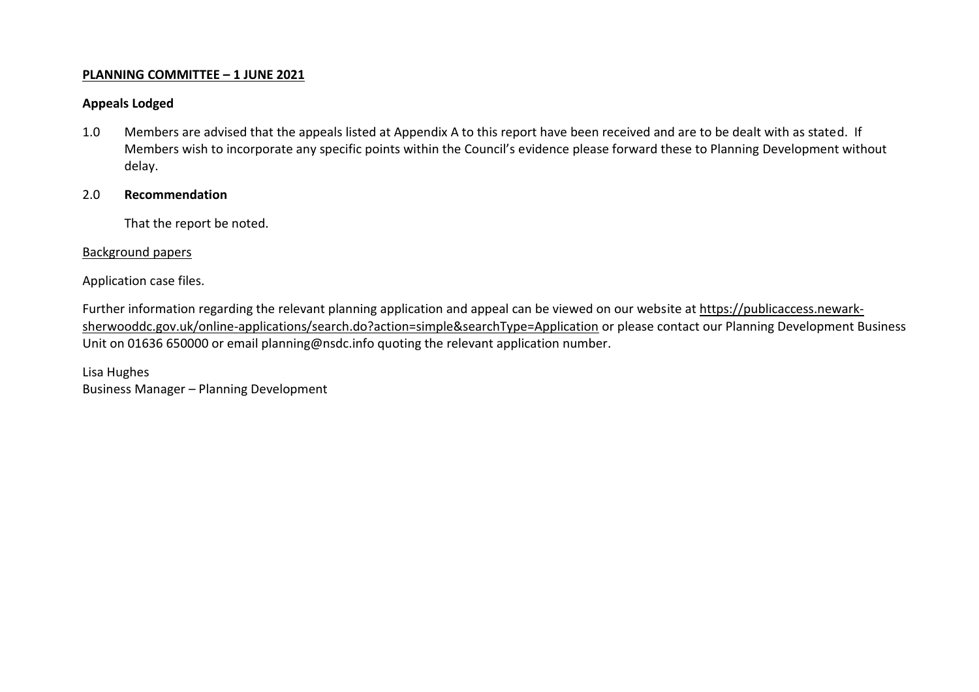## **PLANNING COMMITTEE – 1 JUNE 2021**

# **Appeals Lodged**

1.0 Members are advised that the appeals listed at Appendix A to this report have been received and are to be dealt with as stated. If Members wish to incorporate any specific points within the Council's evidence please forward these to Planning Development without delay.

# 2.0 **Recommendation**

That the report be noted.

#### Background papers

Application case files.

Further information regarding the relevant planning application and appeal can be viewed on our website at [https://publicaccess.newark](https://publicaccess.newark-sherwooddc.gov.uk/online-applications/search.do?action=simple&searchType=Application)[sherwooddc.gov.uk/online-applications/search.do?action=simple&searchType=Application](https://publicaccess.newark-sherwooddc.gov.uk/online-applications/search.do?action=simple&searchType=Application) or please contact our Planning Development Business Unit on 01636 650000 or email planning@nsdc.info quoting the relevant application number.

Lisa Hughes Business Manager – Planning Development